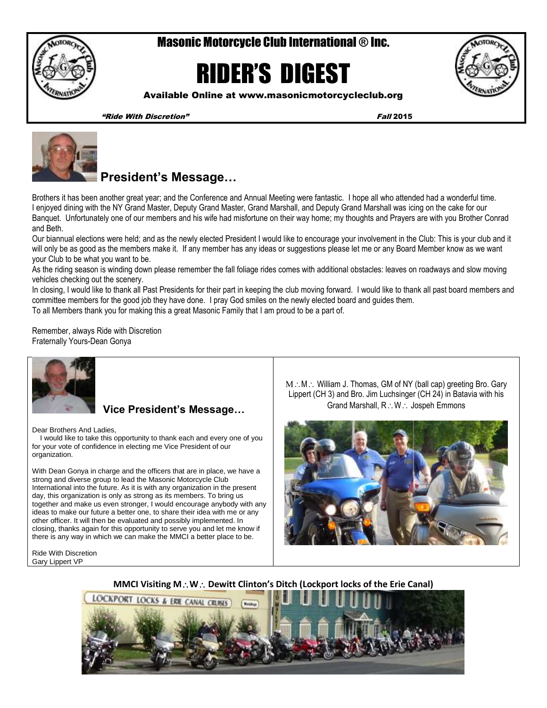

# Masonic Motorcycle Club International ® Inc.

# RIDER'S DIGEST



Available Online at www.masonicmotorcycleclub.org

"Ride With Discretion" Fall 2015



# **President's Message…**

Brothers it has been another great year; and the Conference and Annual Meeting were fantastic. I hope all who attended had a wonderful time. I enjoyed dining with the NY Grand Master, Deputy Grand Master, Grand Marshall, and Deputy Grand Marshall was icing on the cake for our Banquet. Unfortunately one of our members and his wife had misfortune on their way home; my thoughts and Prayers are with you Brother Conrad and Beth.

Our biannual elections were held; and as the newly elected President I would like to encourage your involvement in the Club: This is your club and it will only be as good as the members make it. If any member has any ideas or suggestions please let me or any Board Member know as we want your Club to be what you want to be.

As the riding season is winding down please remember the fall foliage rides comes with additional obstacles: leaves on roadways and slow moving vehicles checking out the scenery.

In closing, I would like to thank all Past Presidents for their part in keeping the club moving forward. I would like to thank all past board members and committee members for the good job they have done. I pray God smiles on the newly elected board and guides them. To all Members thank you for making this a great Masonic Family that I am proud to be a part of.

Remember, always Ride with Discretion Fraternally Yours-Dean Gonya



## **Vice President's Message…**

Dear Brothers And Ladies,

 I would like to take this opportunity to thank each and every one of you for your vote of confidence in electing me Vice President of our organization.

With Dean Gonya in charge and the officers that are in place, we have a strong and diverse group to lead the Masonic Motorcycle Club International into the future. As it is with any organization in the present day, this organization is only as strong as its members. To bring us together and make us even stronger, I would encourage anybody with any ideas to make our future a better one, to share their idea with me or any other officer. It will then be evaluated and possibly implemented. In closing, thanks again for this opportunity to serve you and let me know if there is any way in which we can make the MMCI a better place to be.

Ride With Discretion Gary Lippert VP

 $M : M :$  William J. Thomas, GM of NY (ball cap) greeting Bro. Gary Lippert (CH 3) and Bro. Jim Luchsinger (CH 24) in Batavia with his Grand Marshall, R.: W.: Jospeh Emmons



### **MMCI Visiting M. W. Dewitt Clinton's Ditch (Lockport locks of the Erie Canal)**

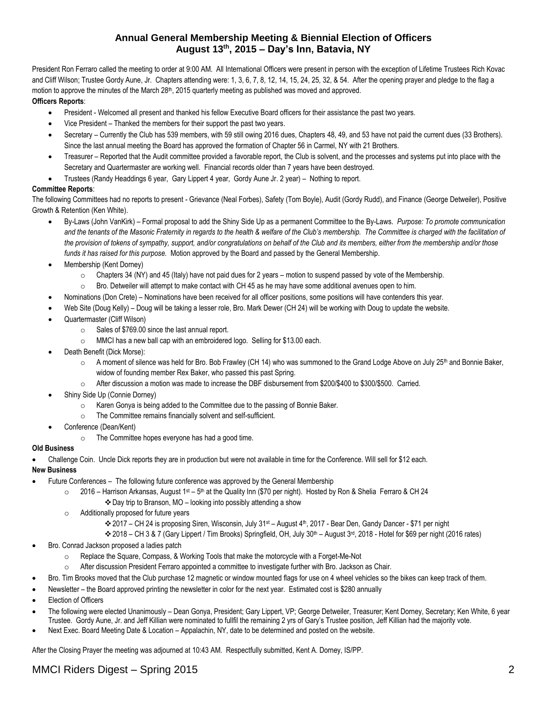## **Annual General Membership Meeting & Biennial Election of Officers August 13th, 2015 – Day's Inn, Batavia, NY**

President Ron Ferraro called the meeting to order at 9:00 AM. All International Officers were present in person with the exception of Lifetime Trustees Rich Kovac and Cliff Wilson; Trustee Gordy Aune, Jr. Chapters attending were: 1, 3, 6, 7, 8, 12, 14, 15, 24, 25, 32, & 54. After the opening prayer and pledge to the flag a motion to approve the minutes of the March 28<sup>th</sup>, 2015 quarterly meeting as published was moved and approved.

#### **Officers Reports**:

- President Welcomed all present and thanked his fellow Executive Board officers for their assistance the past two years.
- Vice President Thanked the members for their support the past two years.
- Secretary Currently the Club has 539 members, with 59 still owing 2016 dues, Chapters 48, 49, and 53 have not paid the current dues (33 Brothers). Since the last annual meeting the Board has approved the formation of Chapter 56 in Carmel, NY with 21 Brothers.
- Treasurer Reported that the Audit committee provided a favorable report, the Club is solvent, and the processes and systems put into place with the Secretary and Quartermaster are working well. Financial records older than 7 years have been destroyed.
- Trustees (Randy Headdings 6 year, Gary Lippert 4 year, Gordy Aune Jr. 2 year) Nothing to report.

#### **Committee Reports**:

The following Committees had no reports to present - Grievance (Neal Forbes), Safety (Tom Boyle), Audit (Gordy Rudd), and Finance (George Detweiler), Positive Growth & Retention (Ken White).

- By-Laws (John VanKirk) Formal proposal to add the Shiny Side Up as a permanent Committee to the By-Laws. *Purpose: To promote communication and the tenants of the Masonic Fraternity in regards to the health & welfare of the Club's membership. The Committee is charged with the facilitation of the provision of tokens of sympathy, support, and/or congratulations on behalf of the Club and its members, either from the membership and/or those funds it has raised for this purpose.* Motion approved by the Board and passed by the General Membership.
- Membership (Kent Dorney)
	- $\circ$  Chapters 34 (NY) and 45 (Italy) have not paid dues for 2 years motion to suspend passed by vote of the Membership.
	- $\circ$  Bro. Detweiler will attempt to make contact with CH 45 as he may have some additional avenues open to him.
- Nominations (Don Crete) Nominations have been received for all officer positions, some positions will have contenders this year.
- Web Site (Doug Kelly) Doug will be taking a lesser role, Bro. Mark Dewer (CH 24) will be working with Doug to update the website.
- Quartermaster (Cliff Wilson)
	- o Sales of \$769.00 since the last annual report.
	- o MMCI has a new ball cap with an embroidered logo. Selling for \$13.00 each.
- Death Benefit (Dick Morse):
	- $\circ$  A moment of silence was held for Bro. Bob Frawley (CH 14) who was summoned to the Grand Lodge Above on July 25<sup>th</sup> and Bonnie Baker, widow of founding member Rex Baker, who passed this past Spring.
	- o After discussion a motion was made to increase the DBF disbursement from \$200/\$400 to \$300/\$500. Carried.
- Shiny Side Up (Connie Dorney)
	- o Karen Gonya is being added to the Committee due to the passing of Bonnie Baker.
	- o The Committee remains financially solvent and self-sufficient.
- Conference (Dean/Kent)
	- o The Committee hopes everyone has had a good time.

#### **Old Business**

Challenge Coin. Uncle Dick reports they are in production but were not available in time for the Conference. Will sell for \$12 each.

#### **New Business**

- Future Conferences The following future conference was approved by the General Membership
	- o 2016 Harrison Arkansas, August 1st 5<sup>th</sup> at the Quality Inn (\$70 per night). Hosted by Ron & Shelia Ferraro & CH 24
		- Day trip to Branson, MO looking into possibly attending a show
	- o Additionally proposed for future years
		- 2017 CH 24 is proposing Siren, Wisconsin, July 31st August 4th, 2017 Bear Den, Gandy Dancer \$71 per night
		- ◆ 2018 CH 3 & 7 (Gary Lippert / Tim Brooks) Springfield, OH, July 30<sup>th</sup> August 3<sup>rd</sup>, 2018 Hotel for \$69 per night (2016 rates)
- Bro. Conrad Jackson proposed a ladies patch
	- o Replace the Square, Compass, & Working Tools that make the motorcycle with a Forget-Me-Not
	- o After discussion President Ferraro appointed a committee to investigate further with Bro. Jackson as Chair.
- Bro. Tim Brooks moved that the Club purchase 12 magnetic or window mounted flags for use on 4 wheel vehicles so the bikes can keep track of them.
- Newsletter the Board approved printing the newsletter in color for the next year. Estimated cost is \$280 annually
- Election of Officers
- The following were elected Unanimously Dean Gonya, President; Gary Lippert, VP; George Detweiler, Treasurer; Kent Dorney, Secretary; Ken White, 6 year Trustee. Gordy Aune, Jr. and Jeff Killian were nominated to fullfil the remaining 2 yrs of Gary's Trustee position, Jeff Killian had the majority vote.
- Next Exec. Board Meeting Date & Location Appalachin, NY, date to be determined and posted on the website.

After the Closing Prayer the meeting was adjourned at 10:43 AM. Respectfully submitted, Kent A. Dorney, IS/PP.

# MMCI Riders Digest – Spring 2015 2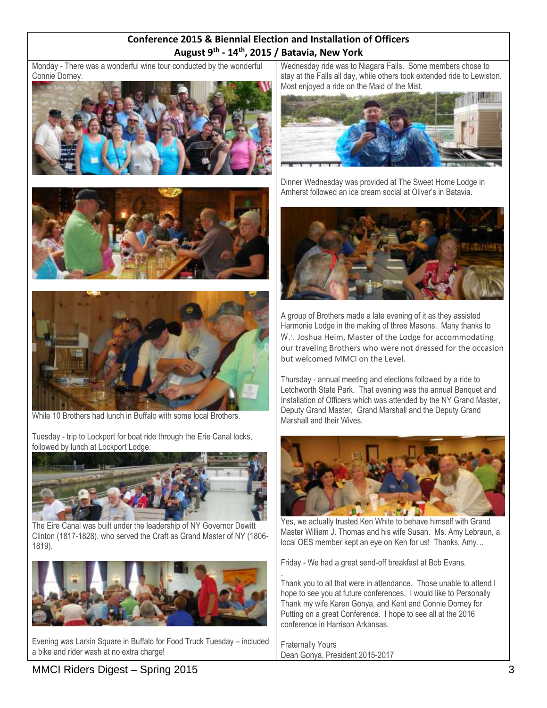## **Conference 2015 & Biennial Election and Installation of Officers August 9th - 14th, 2015 / Batavia, New York**

Monday - There was a wonderful wine tour conducted by the wonderful Connie Dorney.







While 10 Brothers had lunch in Buffalo with some local Brothers.

Tuesday - trip to Lockport for boat ride through the Erie Canal locks, followed by lunch at Lockport Lodge.



The Eire Canal was built under the leadership of NY Governor Dewitt Clinton (1817-1828), who served the Craft as Grand Master of NY (1806- 1819).



Evening was Larkin Square in Buffalo for Food Truck Tuesday – included a bike and rider wash at no extra charge!

Wednesday ride was to Niagara Falls. Some members chose to stay at the Falls all day, while others took extended ride to Lewiston. Most enjoyed a ride on the Maid of the Mist.



Dinner Wednesday was provided at The Sweet Home Lodge in Amherst followed an ice cream social at Oliver's in Batavia.



A group of Brothers made a late evening of it as they assisted Harmonie Lodge in the making of three Masons. Many thanks to W .: Joshua Heim, Master of the Lodge for accommodating our traveling Brothers who were not dressed for the occasion but welcomed MMCI on the Level.

Thursday - annual meeting and elections followed by a ride to Letchworth State Park. That evening was the annual Banquet and Installation of Officers which was attended by the NY Grand Master, Deputy Grand Master, Grand Marshall and the Deputy Grand Marshall and their Wives.



Yes, we actually trusted Ken White to behave himself with Grand Master William J. Thomas and his wife Susan. Ms. Amy Lebraun, a local OES member kept an eye on Ken for us! Thanks, Amy…

Friday - We had a great send-off breakfast at Bob Evans.

. Thank you to all that were in attendance. Those unable to attend I hope to see you at future conferences. I would like to Personally Thank my wife Karen Gonya, and Kent and Connie Dorney for Putting on a great Conference. I hope to see all at the 2016 conference in Harrison Arkansas.

Fraternally Yours Dean Gonya, President 2015-2017

# MMCI Riders Digest – Spring 2015 3